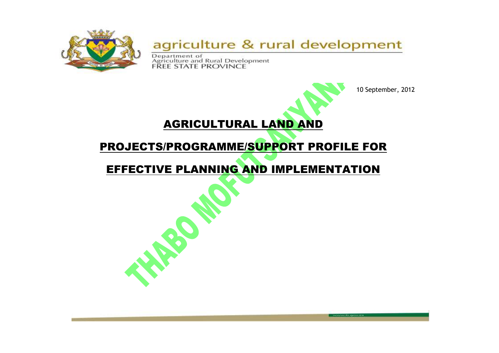

### agriculture & rural development

Department of<br>Agriculture and Rural Development<br>FREE STATE PROVINCE

**ROP** 



10 September, 2012

# PROJECTS/PROGRAMME/SUPPORT PROFILE FOR

AGRICULTURAL LAND AND

## EFFECTIVE PLANNING AND IMPLEMENTATION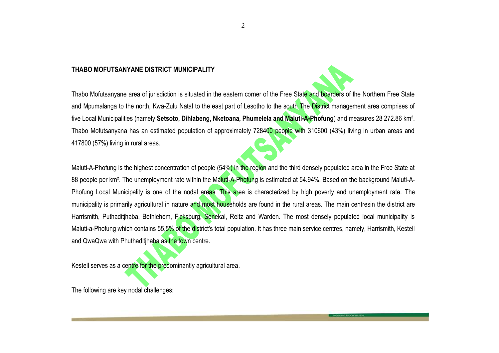#### **THABO MOFUTSANYANE DISTRICT MUNICIPALITY**

Thabo Mofutsanyane area of jurisdiction is situated in the eastern corner of the Free State and boarders of the Northern Free State and Mpumalanga to the north, Kwa-Zulu Natal to the east part of Lesotho to the south The District management area comprises of five Local Municipalities (namely **Setsoto, Dihlabeng, Nketoana, Phumelela and Maluti-A-Phofung**) and measures 28 272.86 km². Thabo Mofutsanyana has an estimated population of approximately 728400 people with 310600 (43%) living in urban areas and 417800 (57%) living in rural areas.

Maluti-A-Phofung is the highest concentration of people (54%) in the region and the third densely populated area in the Free State at 88 people per km<sup>2</sup>. The unemployment rate within the Maluti-A-Phofung is estimated at 54.94%. Based on the background Maluti-A-Phofung Local Municipality is one of the nodal areas. This area is characterized by high poverty and unemployment rate. The municipality is primarily agricultural in nature and most households are found in the rural areas. The main centresin the district are Harrismith, Puthaditihaba, Bethlehem, Ficksburg, Senekal, Reitz and Warden. The most densely populated local municipality is Maluti-a-Phofung which contains 55,5% of the district's total population. It has three main service centres, namely, Harrismith, Kestell and QwaQwa with Phuthaditihaba as the town centre.

**Private Bag X01, Glen, 9360, Chemistry Building, Ground Floor, Glen Agricultural Institute, Tel: (051) 861 8424 Fax: (051) 861 8455, E-mail: masiteng@fs.agric.za.**

Kestell serves as a centre for the predominantly agricultural area.

The following are key nodal challenges: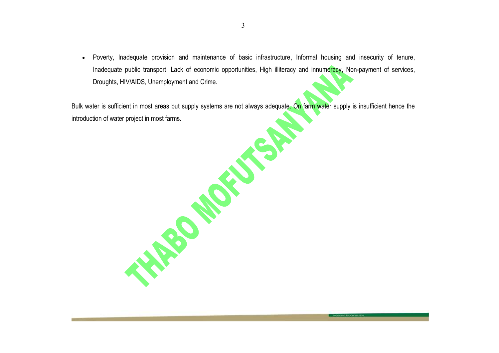Poverty, Inadequate provision and maintenance of basic infrastructure, Informal housing and insecurity of tenure, Inadequate public transport, Lack of economic opportunities, High illiteracy and innumeracy, Non-payment of services, Droughts, HIV/AIDS, Unemployment and Crime.

Bulk water is sufficient in most areas but supply systems are not always adequate. On farm water supply is insufficient hence the<br>introduction of water project in most farms. introduction of water project in most farms.

**Private Bag X01, Glen, 9360, Chemistry Building, Ground Floor, Glen Agricultural Institute, Tel: (051) 861 8424 Fax: (051) 861 8455, E-mail: masiteng@fs.agric.za.**

3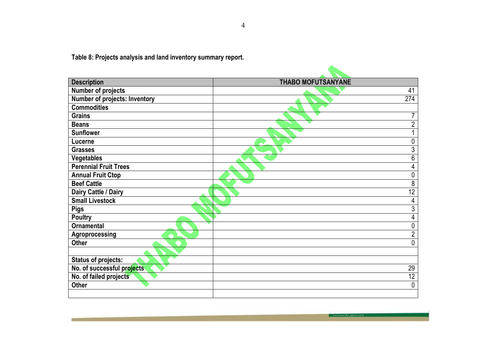**Table 8: Projects analysis and land inventory summary report.**

| <b>Description</b>                   | <b>THABO MOFUTSANYANE</b> |  |  |
|--------------------------------------|---------------------------|--|--|
| <b>Number of projects</b>            | 41                        |  |  |
| <b>Number of projects: Inventory</b> | 274                       |  |  |
| <b>Commodities</b>                   |                           |  |  |
| <b>Grains</b>                        | $\overline{7}$            |  |  |
| <b>Beans</b>                         | $\overline{2}$            |  |  |
| <b>Sunflower</b>                     |                           |  |  |
| Lucerne                              | 0                         |  |  |
| <b>Grasses</b>                       | 3                         |  |  |
| <b>Vegetables</b>                    | 6                         |  |  |
| <b>Perennial Fruit Trees</b>         | 4                         |  |  |
| <b>Annual Fruit Ctop</b>             | 0                         |  |  |
| <b>Beef Cattle</b>                   | 8                         |  |  |
| Dairy Cattle / Dairy                 | 12                        |  |  |
| <b>Small Livestock</b>               | 4                         |  |  |
| <b>Pigs</b>                          | $\overline{3}$            |  |  |
| <b>Poultry</b>                       | 4                         |  |  |
| <b>Ornamental</b>                    | $\mathbf 0$               |  |  |
| Agroprocessing                       | $\sqrt{2}$                |  |  |
| <b>Other</b>                         | 0                         |  |  |
|                                      |                           |  |  |
| <b>Status of projects:</b>           |                           |  |  |
| No. of successful projects           | 29                        |  |  |
| No. of failed projects               | 12                        |  |  |
| <b>Other</b>                         | 0                         |  |  |
|                                      |                           |  |  |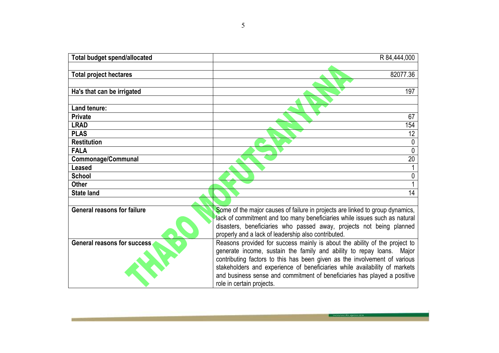| R 84,444,000                                                                                                                                           |  |  |
|--------------------------------------------------------------------------------------------------------------------------------------------------------|--|--|
| 82077.36                                                                                                                                               |  |  |
| 197                                                                                                                                                    |  |  |
|                                                                                                                                                        |  |  |
| 67                                                                                                                                                     |  |  |
| 154                                                                                                                                                    |  |  |
| 12                                                                                                                                                     |  |  |
| $\mathbf{0}$                                                                                                                                           |  |  |
| 0                                                                                                                                                      |  |  |
| 20                                                                                                                                                     |  |  |
|                                                                                                                                                        |  |  |
| 0                                                                                                                                                      |  |  |
|                                                                                                                                                        |  |  |
| 14                                                                                                                                                     |  |  |
|                                                                                                                                                        |  |  |
| Some of the major causes of failure in projects are linked to group dynamics,                                                                          |  |  |
| lack of commitment and too many beneficiaries while issues such as natural                                                                             |  |  |
| disasters, beneficiaries who passed away, projects not being planned                                                                                   |  |  |
| properly and a lack of leadership also contributed.                                                                                                    |  |  |
| Reasons provided for success mainly is about the ability of the project to                                                                             |  |  |
| generate income, sustain the family and ability to repay loans. Major                                                                                  |  |  |
| contributing factors to this has been given as the involvement of various                                                                              |  |  |
| stakeholders and experience of beneficiaries while availability of markets<br>and business sense and commitment of beneficiaries has played a positive |  |  |
| role in certain projects.                                                                                                                              |  |  |
|                                                                                                                                                        |  |  |

**Private Bag X01, Glen, 9360, Chemistry Building, Ground Floor, Glen Agricultural Institute, Tel: (051) 861 8424 Fax: (051) 861 8455, E-mail: masiteng@fs.agric.za.**

**COLLECTION** 

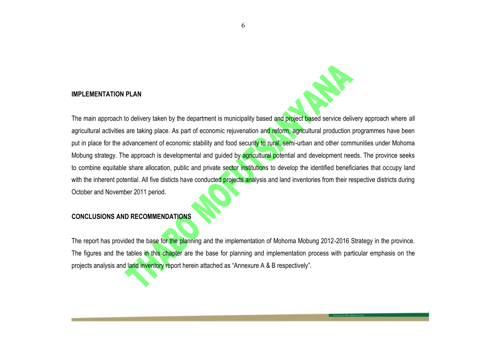#### **IMPLEMENTATION PLAN**

The main approach to delivery taken by the department is municipality based and project based service delivery approach where all agricultural activities are taking place. As part of economic rejuvenation and reform, agricultural production programmes have been put in place for the advancement of economic stability and food security to rural, semi-urban and other communities under Mohoma Mobung strategy. The approach is developmental and guided by agricultural potential and development needs. The province seeks to combine equitable share allocation, public and private sector institutions to develop the identified beneficiaries that occupy land with the inherent potential. All five disticts have conducted projects analysis and land inventories from their respective districts during October and November 2011 period.

### **CONCLUSIONS AND RECOMMENDATIONS**

The report has provided the base for the planning and the implementation of Mohoma Mobung 2012-2016 Strategy in the province. The figures and the tables in this chapter are the base for planning and implementation process with particular emphasis on the projects analysis and land inventory report herein attached as "Annexure A & B respectively".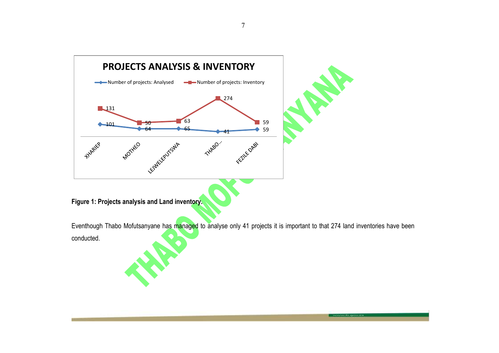

Eventhough Thabo Mofutsanyane has managed to analyse only 41 projects it is important to that 274 land inventories have been conducted.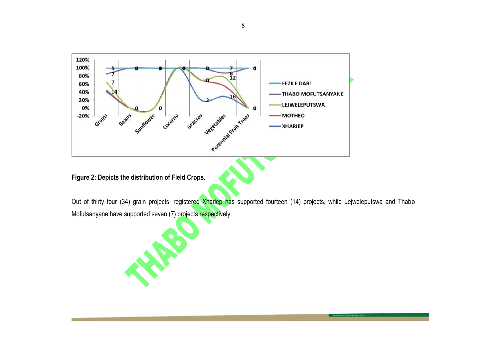

### **Figure 2: Depicts the distribution of Field Crops.**

Out of thirty four (34) grain projects, registered Xhariep has supported fourteen (14) projects, while Lejweleputswa and Thabo Mofutsanyane have supported seven (7) projects respectively.

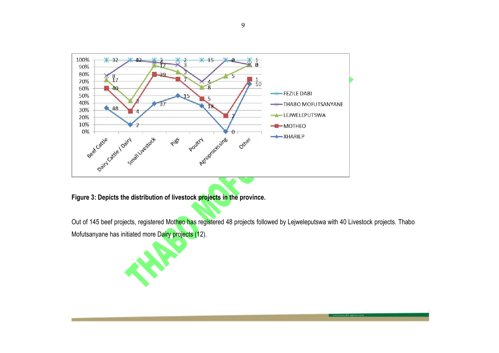

**Figure 3: Depicts the distribution of livestock projects in the province.**

Out of 145 beef projects, registered Motheo has registered 48 projects followed by Lejweleputswa with 40 Livestock projects. Thabo Mofutsanyane has initiated more Dairy projects (12).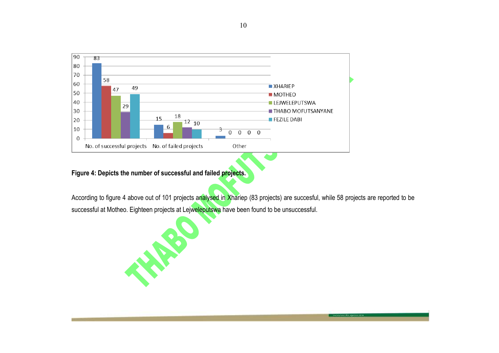

**Figure 4: Depicts the number of successful and failed projects.**

According to figure 4 above out of 101 projects analysed in Xhariep (83 projects) are succesful, while 58 projects are reported to be successful at Motheo. Eighteen projects at Lejweleputswa have been found to be unsuccessful.

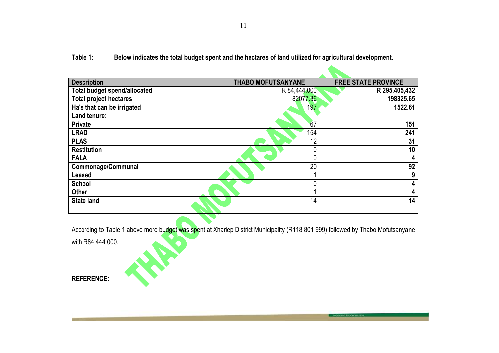**Table 1: Below indicates the total budget spent and the hectares of land utilized for agricultural development.**

| <b>Description</b>                  | <b>THABO MOFUTSANYANE</b> | <b>FREE STATE PROVINCE</b> |  |
|-------------------------------------|---------------------------|----------------------------|--|
| <b>Total budget spend/allocated</b> | R 84,444,000              | R 295,405,432              |  |
| <b>Total project hectares</b>       | 82077.36                  | 198325.65                  |  |
| Ha's that can be irrigated          | 197                       | 1522.61                    |  |
| Land tenure:                        |                           |                            |  |
| <b>Private</b>                      | 67                        | 151                        |  |
| <b>LRAD</b>                         | 154                       | 241                        |  |
| <b>PLAS</b>                         | 12                        | 31                         |  |
| <b>Restitution</b>                  |                           | 10                         |  |
| <b>FALA</b>                         |                           | 4                          |  |
| Commonage/Communal                  | 20                        | 92                         |  |
| <b>Leased</b>                       |                           | 9                          |  |
| <b>School</b>                       |                           | 4                          |  |
| <b>Other</b>                        |                           | 4                          |  |
| <b>State land</b>                   | 14                        | 14                         |  |
|                                     |                           |                            |  |

According to Table 1 above more budget was spent at Xhariep District Municipality (R118 801 999) followed by Thabo Mofutsanyane

**Private Bag X01, Glen, 9360, Chemistry Building, Ground Floor, Glen Agricultural Institute, Tel: (051) 861 8424 Fax: (051) 861 8455, E-mail: masiteng@fs.agric.za.**

with R84 444 000.

**REFERENCE:**